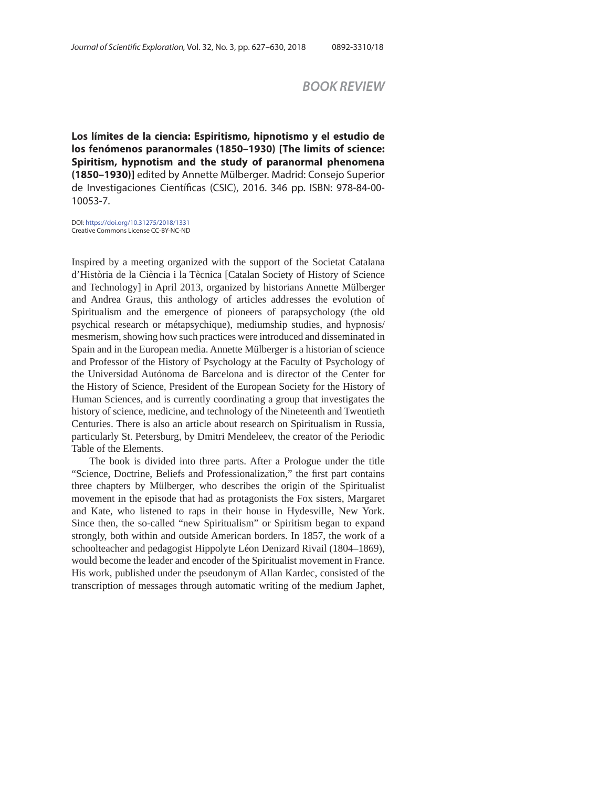## *BOOK REVIEW*

**Los límites de la ciencia: Espiritismo, hipnotismo y el estudio de los fenómenos paranormales (1850–1930) [The limits of science: Spiritism, hypnotism and the study of paranormal phenomena (1850–1930)]** edited by Annette Mülberger. Madrid: Consejo Superior de Investigaciones Científicas (CSIC), 2016. 346 pp. ISBN: 978-84-00-10053-7.

DOI: https://doi.org/10.31275/2018/1331 Creative Commons License CC-BY-NC-ND

Inspired by a meeting organized with the support of the Societat Catalana d'Història de la Ciència i la Tècnica [Catalan Society of History of Science and Technology] in April 2013, organized by historians Annette Mülberger and Andrea Graus, this anthology of articles addresses the evolution of Spiritualism and the emergence of pioneers of parapsychology (the old psychical research or métapsychique), mediumship studies, and hypnosis/ mesmerism, showing how such practices were introduced and disseminated in Spain and in the European media. Annette Mülberger is a historian of science and Professor of the History of Psychology at the Faculty of Psychology of the Universidad Autónoma de Barcelona and is director of the Center for the History of Science, President of the European Society for the History of Human Sciences, and is currently coordinating a group that investigates the history of science, medicine, and technology of the Nineteenth and Twentieth Centuries. There is also an article about research on Spiritualism in Russia, particularly St. Petersburg, by Dmitri Mendeleev, the creator of the Periodic Table of the Elements.

The book is divided into three parts. After a Prologue under the title "Science, Doctrine, Beliefs and Professionalization," the first part contains three chapters by Mülberger, who describes the origin of the Spiritualist movement in the episode that had as protagonists the Fox sisters, Margaret and Kate, who listened to raps in their house in Hydesville, New York. Since then, the so-called "new Spiritualism" or Spiritism began to expand strongly, both within and outside American borders. In 1857, the work of a schoolteacher and pedagogist Hippolyte Léon Denizard Rivail (1804–1869), would become the leader and encoder of the Spiritualist movement in France. His work, published under the pseudonym of Allan Kardec, consisted of the transcription of messages through automatic writing of the medium Japhet,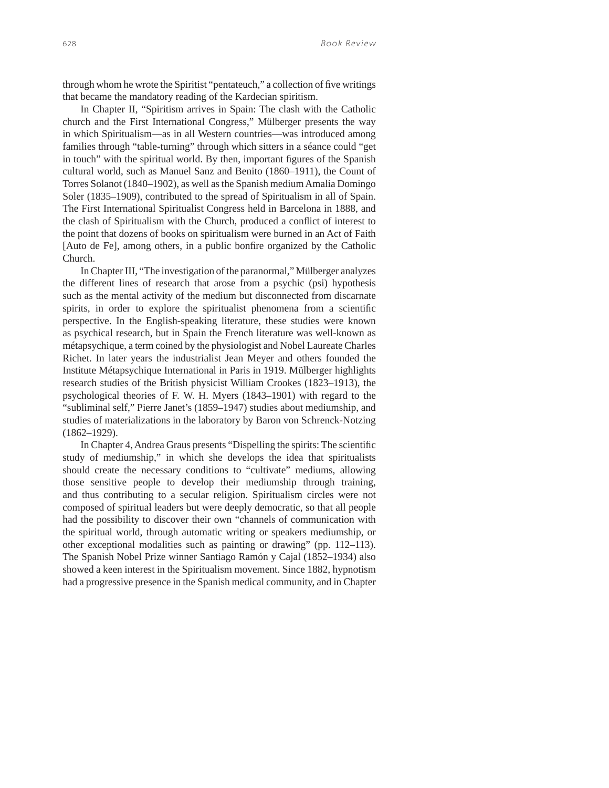through whom he wrote the Spiritist "pentateuch," a collection of five writings that became the mandatory reading of the Kardecian spiritism.

In Chapter II, "Spiritism arrives in Spain: The clash with the Catholic church and the First International Congress," Mülberger presents the way in which Spiritualism—as in all Western countries—was introduced among families through "table-turning" through which sitters in a séance could "get in touch" with the spiritual world. By then, important figures of the Spanish cultural world, such as Manuel Sanz and Benito (1860–1911), the Count of Torres Solanot (1840–1902), as well as the Spanish medium Amalia Domingo Soler (1835–1909), contributed to the spread of Spiritualism in all of Spain. The First International Spiritualist Congress held in Barcelona in 1888, and the clash of Spiritualism with the Church, produced a conflict of interest to the point that dozens of books on spiritualism were burned in an Act of Faith [Auto de Fe], among others, in a public bonfire organized by the Catholic Church.

In Chapter III, "The investigation of the paranormal," Mülberger analyzes the different lines of research that arose from a psychic (psi) hypothesis such as the mental activity of the medium but disconnected from discarnate spirits, in order to explore the spiritualist phenomena from a scientific perspective. In the English-speaking literature, these studies were known as psychical research, but in Spain the French literature was well-known as métapsychique, a term coined by the physiologist and Nobel Laureate Charles Richet. In later years the industrialist Jean Meyer and others founded the Institute Métapsychique International in Paris in 1919. Mülberger highlights research studies of the British physicist William Crookes (1823–1913), the psychological theories of F. W. H. Myers (1843–1901) with regard to the "subliminal self," Pierre Janet's (1859–1947) studies about mediumship, and studies of materializations in the laboratory by Baron von Schrenck-Notzing (1862–1929).

In Chapter 4, Andrea Graus presents "Dispelling the spirits: The scientific study of mediumship," in which she develops the idea that spiritualists should create the necessary conditions to "cultivate" mediums, allowing those sensitive people to develop their mediumship through training, and thus contributing to a secular religion. Spiritualism circles were not composed of spiritual leaders but were deeply democratic, so that all people had the possibility to discover their own "channels of communication with the spiritual world, through automatic writing or speakers mediumship, or other exceptional modalities such as painting or drawing" (pp. 112–113). The Spanish Nobel Prize winner Santiago Ramón y Cajal (1852–1934) also showed a keen interest in the Spiritualism movement. Since 1882, hypnotism had a progressive presence in the Spanish medical community, and in Chapter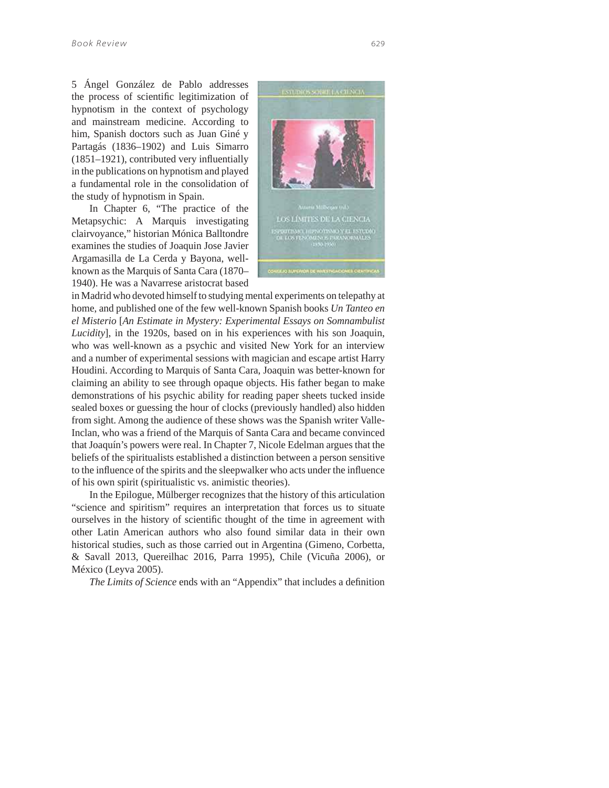5 Ángel González de Pablo addresses the process of scientific legitimization of hypnotism in the context of psychology and mainstream medicine. According to him, Spanish doctors such as Juan Giné y Partagás (1836–1902) and Luis Simarro  $(1851-1921)$ , contributed very influentially in the publications on hypnotism and played a fundamental role in the consolidation of the study of hypnotism in Spain.

In Chapter 6, "The practice of the Metapsychic: A Marquis investigating clairvoyance," historian Mónica Balltondre examines the studies of Joaquin Jose Javier Argamasilla de La Cerda y Bayona, wellknown as the Marquis of Santa Cara (1870– 1940). He was a Navarrese aristocrat based



in Madrid who devoted himself to studying mental experiments on telepathy at home, and published one of the few well-known Spanish books *Un Tanteo en el Misterio* [*An Estimate in Mystery: Experimental Essays on Somnambulist Lucidity*], in the 1920s, based on in his experiences with his son Joaquin, who was well-known as a psychic and visited New York for an interview and a number of experimental sessions with magician and escape artist Harry Houdini. According to Marquis of Santa Cara, Joaquin was better-known for claiming an ability to see through opaque objects. His father began to make demonstrations of his psychic ability for reading paper sheets tucked inside sealed boxes or guessing the hour of clocks (previously handled) also hidden from sight. Among the audience of these shows was the Spanish writer Valle-Inclan, who was a friend of the Marquis of Santa Cara and became convinced that Joaquín's powers were real. In Chapter 7, Nicole Edelman argues that the beliefs of the spiritualists established a distinction between a person sensitive to the influence of the spirits and the sleepwalker who acts under the influence of his own spirit (spiritualistic vs. animistic theories).

In the Epilogue, Mülberger recognizes that the history of this articulation "science and spiritism" requires an interpretation that forces us to situate ourselves in the history of scientific thought of the time in agreement with other Latin American authors who also found similar data in their own historical studies, such as those carried out in Argentina (Gimeno, Corbetta, & Savall 2013, Quereilhac 2016, Parra 1995), Chile (Vicuña 2006), or México (Leyva 2005).

*The Limits of Science* ends with an "Appendix" that includes a definition